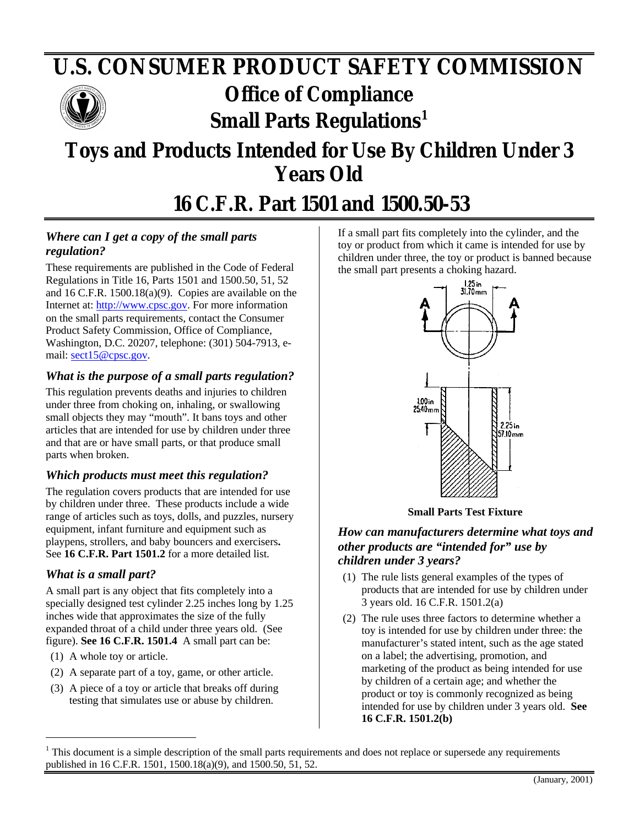# **U.S. CONSUMER PRODUCT SAFETY COMMISSION** *Office of Compliance* **Small Parts Regulations<sup>1</sup>**

# **Toys and Products Intended for Use By Children Under 3 Years Old**

# **16 C.F.R. Part 1501 and 1500.50-53**

## *Where can I get a copy of the small parts regulation?*

These requirements are published in the Code of Federal Regulations in Title 16, Parts 1501 and 1500.50, 51, 52 and 16 C.F.R. 1500.18(a)(9). Copies are available on the Internet at: [http://www.cpsc.gov. F](http://www.cpsc.gov)or more information on the small parts requirements, contact the Consumer Product Safety Commission, Office of Compliance, Washington, D.C. 20207, telephone: (301) 504-7913, email: [sect15@cpsc.gov.](mailto:sect15@cpsc.gov)

### *What is the purpose of a small parts regulation?*

This regulation prevents deaths and injuries to children under three from choking on, inhaling, or swallowing small objects they may "mouth". It bans toys and other articles that are intended for use by children under three and that are or have small parts, or that produce small parts when broken.

### *Which products must meet this regulation?*

The regulation covers products that are intended for use by children under three. These products include a wide range of articles such as toys, dolls, and puzzles, nursery equipment, infant furniture and equipment such as playpens, strollers, and baby bouncers and exercisers**.** See **16 C.F.R. Part 1501.2** for a more detailed list.

#### *What is a small part?*

A small part is any object that fits completely into a specially designed test cylinder 2.25 inches long by 1.25 inches wide that approximates the size of the fully expanded throat of a child under three years old. (See figure). **See 16 C.F.R. 1501.4** A small part can be:

(1) A whole toy or article.

 $\overline{a}$ 

- (2) A separate part of a toy, game, or other article.
- (3) A piece of a toy or article that breaks off during testing that simulates use or abuse by children.

If a small part fits completely into the cylinder, and the toy or product from which it came is intended for use by children under three, the toy or product is banned because the small part presents a choking hazard.



**Small Parts Test Fixture**

#### *How can manufacturers determine what toys and other products are "intended for" use by children under 3 years?*

- (1) The rule lists general examples of the types of products that are intended for use by children under 3 years old. 16 C.F.R. 1501.2(a)
- (2) The rule uses three factors to determine whether a toy is intended for use by children under three: the manufacturer's stated intent, such as the age stated on a label; the advertising, promotion, and marketing of the product as being intended for use by children of a certain age; and whether the product or toy is commonly recognized as being intended for use by children under 3 years old. **See 16 C.F.R. 1501.2(b)**

<sup>&</sup>lt;sup>1</sup> This document is a simple description of the small parts requirements and does not replace or supersede any requirements published in 16 C.F.R. 1501, 1500.18(a)(9), and 1500.50, 51, 52.